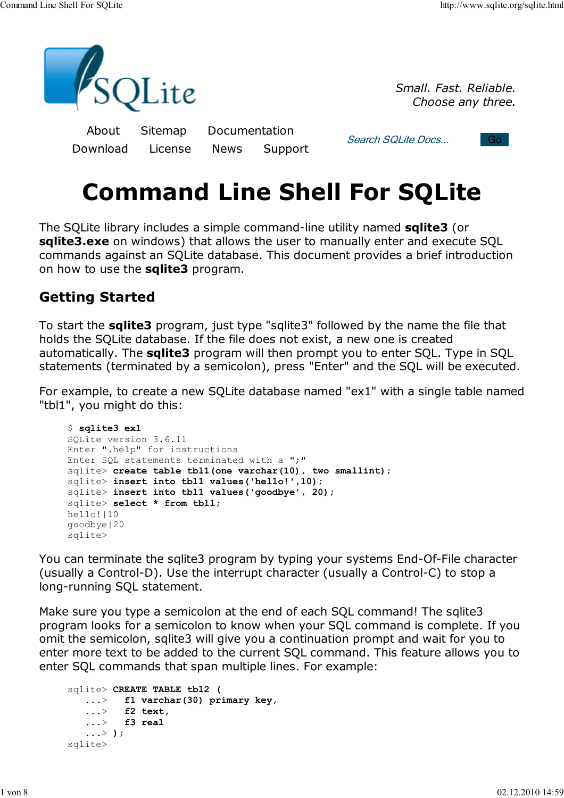

*Small. Fast. Reliable. Choose any three.*

About Sitemap Documentation Download License News Support

Search SQLite Docs... Go



# **Command Line Shell For SQLite**

The SQLite library includes a simple command-line utility named **sqlite3** (or **sqlite3.exe** on windows) that allows the user to manually enter and execute SQL commands against an SQLite database. This document provides a brief introduction on how to use the **sqlite3** program.

## **Getting Started**

To start the **sqlite3** program, just type "sqlite3" followed by the name the file that holds the SQLite database. If the file does not exist, a new one is created automatically. The **sqlite3** program will then prompt you to enter SQL. Type in SQL statements (terminated by a semicolon), press "Enter" and the SQL will be executed.

For example, to create a new SQLite database named "ex1" with a single table named "tbl1", you might do this:

```
$ sqlite3 ex1
SQLite version 3.6.11
Enter ".help" for instructions
Enter SQL statements terminated with a ";"
sqlite> create table tbl1(one varchar(10), two smallint);
sqlite> insert into tbl1 values('hello!',10);
sqlite> insert into tbl1 values('goodbye', 20);
sqlite> select * from tbl1;
hello!|10
goodbye|20
sqlite>
```
You can terminate the sqlite3 program by typing your systems End-Of-File character (usually a Control-D). Use the interrupt character (usually a Control-C) to stop a long-running SQL statement.

Make sure you type a semicolon at the end of each SQL command! The sqlite3 program looks for a semicolon to know when your SQL command is complete. If you omit the semicolon, sqlite3 will give you a continuation prompt and wait for you to enter more text to be added to the current SQL command. This feature allows you to enter SQL commands that span multiple lines. For example:

```
sqlite> CREATE TABLE tbl2 (
    ...> f1 varchar(30) primary key,
    ...> f2 text,
    ...> f3 real
    ...> );
sqlite>
```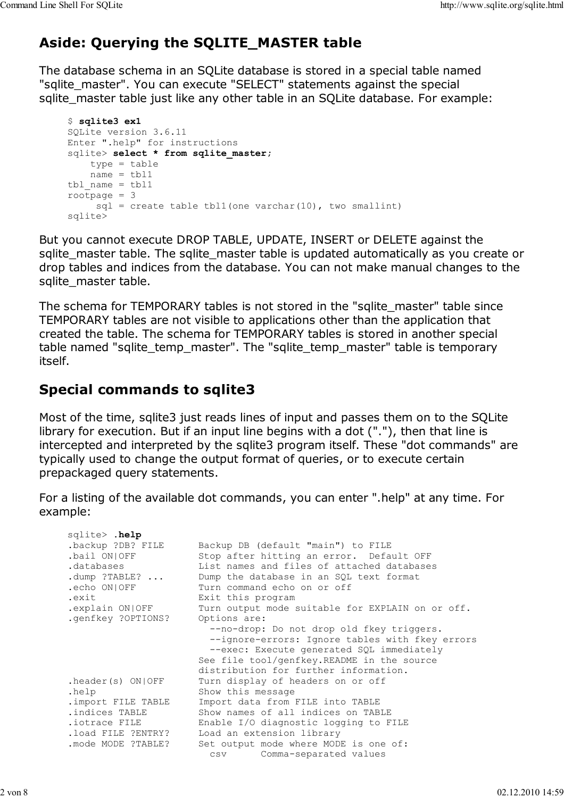# **Aside: Querying the SQLITE\_MASTER table**

The database schema in an SQLite database is stored in a special table named "sqlite\_master". You can execute "SELECT" statements against the special sqlite master table just like any other table in an SQLite database. For example:

```
$ sqlite3 ex1
SQLite version 3.6.11
Enter ".help" for instructions
sqlite> select * from sqlite master;
     type = table
   name = tbl1tbl name = tbl1rootpage = 3
    sgl = create table tbll(one varchar(10), two smallint)
sqlite>
```
But you cannot execute DROP TABLE, UPDATE, INSERT or DELETE against the sqlite master table. The sqlite master table is updated automatically as you create or drop tables and indices from the database. You can not make manual changes to the sqlite master table.

The schema for TEMPORARY tables is not stored in the "sqlite\_master" table since TEMPORARY tables are not visible to applications other than the application that created the table. The schema for TEMPORARY tables is stored in another special table named "sqlite temp\_master". The "sqlite\_temp\_master" table is temporary itself.

#### **Special commands to sqlite3**

Most of the time, sqlite3 just reads lines of input and passes them on to the SQLite library for execution. But if an input line begins with a dot ("."), then that line is intercepted and interpreted by the sqlite3 program itself. These "dot commands" are typically used to change the output format of queries, or to execute certain prepackaged query statements.

For a listing of the available dot commands, you can enter ".help" at any time. For example:

| sqlite> .help      |                                                  |
|--------------------|--------------------------------------------------|
| backup ?DB? FILE.  | Backup DB (default "main") to FILE               |
| .bail ON OFF       | Stop after hitting an error. Default OFF         |
| .databases         | List names and files of attached databases       |
| .dump $?TABLE?$    | Dump the database in an SQL text format          |
| .echo ON OFF       | Turn command echo on or off                      |
| .exit              | Exit this program                                |
| explain ON OFF.    | Turn output mode suitable for EXPLAIN on or off. |
| .genfkey ?OPTIONS? | Options are:                                     |
|                    | --no-drop: Do not drop old fkey triggers.        |
|                    | --ignore-errors: Ignore tables with fkey errors  |
|                    | --exec: Execute generated SQL immediately        |
|                    | See file tool/genfkey. README in the source      |
|                    | distribution for further information.            |
| theader(s) ON/OFF  | Turn display of headers on or off                |
| .help              | Show this message                                |
| .import FILE TABLE | Import data from FILE into TABLE                 |
| .indices TABLE     | Show names of all indices on TABLE               |
| .iotrace FILE      | Enable I/O diagnostic logging to FILE            |
| .load FILE ?ENTRY? | Load an extension library                        |
| .mode MODE ?TABLE? | Set output mode where MODE is one of:            |
|                    | csv Comma-separated values                       |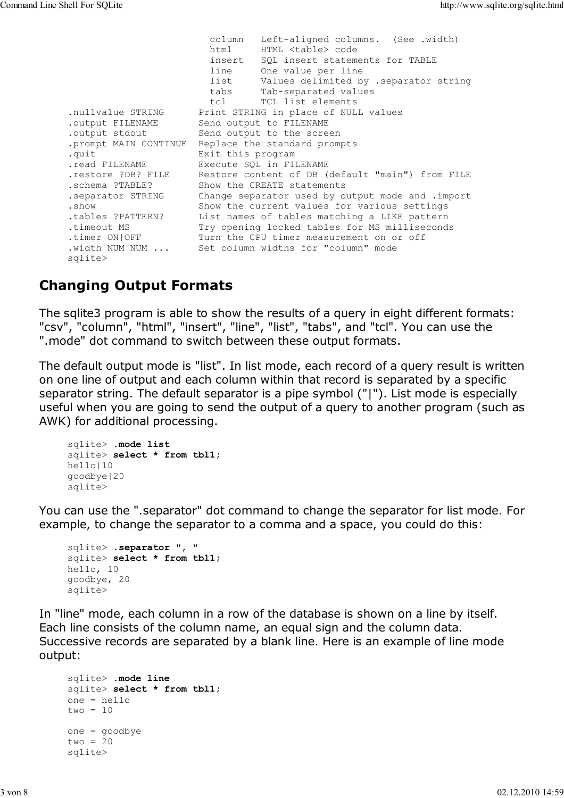column Left-aligned columns. (See .width) html HTML <table> code insert SQL insert statements for TABLE line One value per line list Values delimited by .separator string tabs Tab-separated values<br>tcl TCL list elements tcl TCL list elements .nullvalue STRING Print STRING in place of NULL values .output FILENAME Send output to FILENAME .output stdout Send output to the screen .prompt MAIN CONTINUE Replace the standard prompts .quit Exit this program .read FILENAME Execute SQL in FILENAME .restore ?DB? FILE Restore content of DB (default "main") from FILE .schema ?TABLE? Show the CREATE statements .separator STRING Change separator used by output mode and .import .show Show the current values for various settings .tables ?PATTERN? List names of tables matching a LIKE pattern .timeout MS Try opening locked tables for MS milliseconds .timer ON|OFF Turn the CPU timer measurement on or off .width NUM NUM ... Set column widths for "column" mode sqlite>

#### **Changing Output Formats**

The sqlite3 program is able to show the results of a query in eight different formats: "csv", "column", "html", "insert", "line", "list", "tabs", and "tcl". You can use the ".mode" dot command to switch between these output formats.

The default output mode is "list". In list mode, each record of a query result is written on one line of output and each column within that record is separated by a specific separator string. The default separator is a pipe symbol ("|"). List mode is especially useful when you are going to send the output of a query to another program (such as AWK) for additional processing.

```
sqlite> .mode list
sqlite> select * from tbl1;
hello|10
goodbye|20
sqlite>
```
You can use the ".separator" dot command to change the separator for list mode. For example, to change the separator to a comma and a space, you could do this:

```
sqlite> .separator ", "
sqlite> select * from tbl1;
hello, 10
goodbye, 20
sqlite>
```
In "line" mode, each column in a row of the database is shown on a line by itself. Each line consists of the column name, an equal sign and the column data. Successive records are separated by a blank line. Here is an example of line mode output:

```
sqlite> .mode line
sqlite> select * from tbl1;
one = hello
two = 10one = goodbye
two = 20sqlite>
```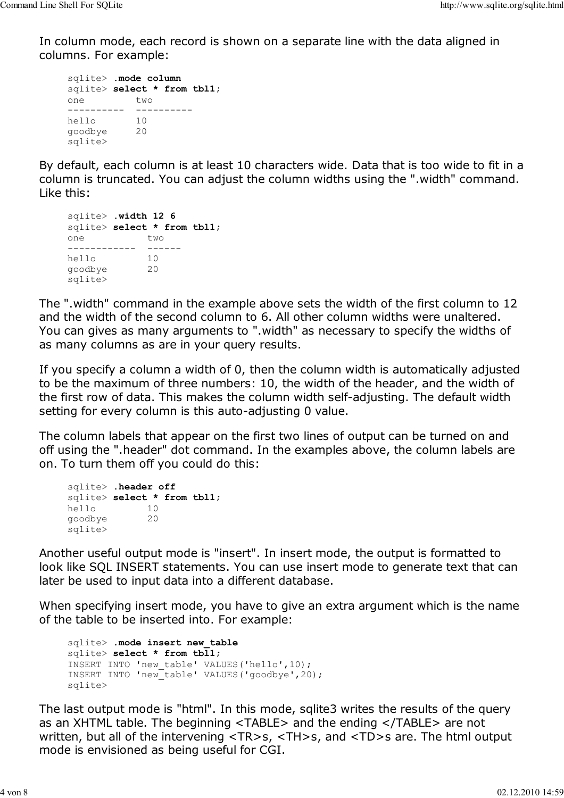In column mode, each record is shown on a separate line with the data aligned in columns. For example:

```
sqlite> .mode column
sqlite> select * from tbl1;
one two 
---------- ----------
hello 10 
goodbye 20 
sqlite>
```
By default, each column is at least 10 characters wide. Data that is too wide to fit in a column is truncated. You can adjust the column widths using the ".width" command. Like this:

```
sqlite> .width 12 6
sqlite> select * from tbl1;
one two 
------------ ------
hello 10 
goodbye 20 
sqlite>
```
The ".width" command in the example above sets the width of the first column to 12 and the width of the second column to 6. All other column widths were unaltered. You can gives as many arguments to ".width" as necessary to specify the widths of as many columns as are in your query results.

If you specify a column a width of 0, then the column width is automatically adjusted to be the maximum of three numbers: 10, the width of the header, and the width of the first row of data. This makes the column width self-adjusting. The default width setting for every column is this auto-adjusting 0 value.

The column labels that appear on the first two lines of output can be turned on and off using the ".header" dot command. In the examples above, the column labels are on. To turn them off you could do this:

```
sqlite> .header off
sqlite> select * from tbl1;
hello 10 
goodbye 20 
sqlite>
```
Another useful output mode is "insert". In insert mode, the output is formatted to look like SQL INSERT statements. You can use insert mode to generate text that can later be used to input data into a different database.

When specifying insert mode, you have to give an extra argument which is the name of the table to be inserted into. For example:

```
sqlite> .mode insert new_table
sqlite> select * from tbl1;
INSERT INTO 'new_table' VALUES('hello',10);
INSERT INTO 'new_table' VALUES('goodbye',20);
sqlite>
```
The last output mode is "html". In this mode, sqlite3 writes the results of the query as an XHTML table. The beginning <TABLE> and the ending </TABLE> are not written, but all of the intervening <TR>s, <TH>s, and <TD>s are. The html output mode is envisioned as being useful for CGI.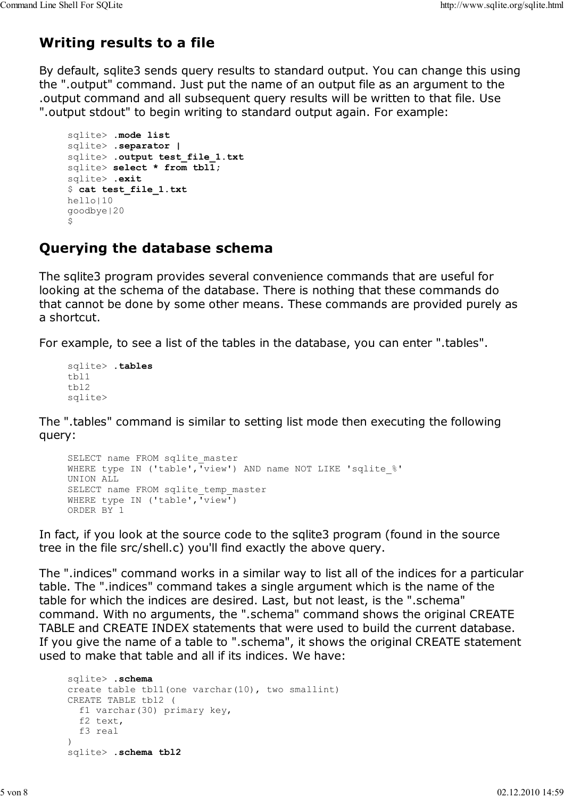# **Writing results to a file**

By default, sqlite3 sends query results to standard output. You can change this using the ".output" command. Just put the name of an output file as an argument to the .output command and all subsequent query results will be written to that file. Use ".output stdout" to begin writing to standard output again. For example:

```
sqlite> .mode list
sqlite> .separator |
sqlite> .output test_file_1.txt
sqlite> select * from tbl1;
sqlite> .exit
$ cat test_file_1.txt
hello|10
goodbye|20
$
```
## **Querying the database schema**

The sqlite3 program provides several convenience commands that are useful for looking at the schema of the database. There is nothing that these commands do that cannot be done by some other means. These commands are provided purely as a shortcut.

For example, to see a list of the tables in the database, you can enter ".tables".

```
sqlite> .tables
tbl1
tbl2
sqlite>
```
The ".tables" command is similar to setting list mode then executing the following query:

```
SELECT name FROM sqlite master
WHERE type IN ('table', 'view') AND name NOT LIKE 'sqlite %'
UNION ALL 
SELECT name FROM sqlite temp master
WHERE type IN ('table',\overline{v}view\overline{v})
ORDER BY 1
```
In fact, if you look at the source code to the sqlite3 program (found in the source tree in the file src/shell.c) you'll find exactly the above query.

The ".indices" command works in a similar way to list all of the indices for a particular table. The ".indices" command takes a single argument which is the name of the table for which the indices are desired. Last, but not least, is the ".schema" command. With no arguments, the ".schema" command shows the original CREATE TABLE and CREATE INDEX statements that were used to build the current database. If you give the name of a table to ".schema", it shows the original CREATE statement used to make that table and all if its indices. We have:

```
sqlite> .schema
create table tbl1(one varchar(10), two smallint)
CREATE TABLE tbl2 (
  f1 varchar(30) primary key,
  f2 text,
  f3 real
)
sqlite> .schema tbl2
```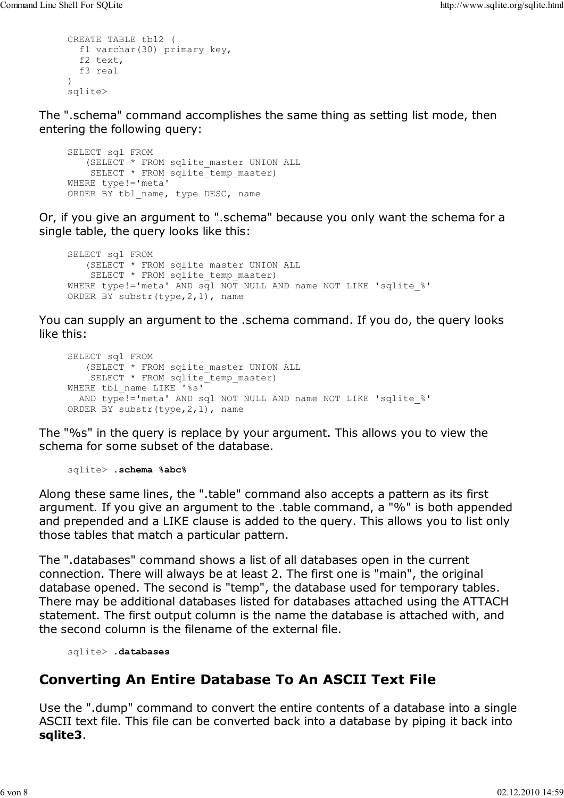```
CREATE TABLE tbl2 (
  f1 varchar(30) primary key,
  f2 text,
  f3 real
)
sqlite>
```
The ".schema" command accomplishes the same thing as setting list mode, then entering the following query:

```
SELECT sql FROM 
    (SELECT * FROM sqlite_master UNION ALL
   SELECT * FROM sqlite temp master)
WHERE type!='meta'
ORDER BY tbl name, type DESC, name
```
Or, if you give an argument to ".schema" because you only want the schema for a single table, the query looks like this:

```
SELECT sql FROM
   (SELECT * FROM sqlite_master UNION ALL
   SELECT * FROM sqlite temp master)
WHERE type!='meta' AND sql NOT NULL AND name NOT LIKE 'sqlite %'
ORDER BY substr(type,2,1), name
```
You can supply an argument to the .schema command. If you do, the query looks like this:

```
SELECT sql FROM
    (SELECT * FROM sqlite_master UNION ALL
    SELECT * FROM sqlite_temp_master)
WHERE tbl name LIKE '%s'
  AND type!='meta' AND sql NOT NULL AND name NOT LIKE 'sqlite_%'
ORDER BY substr(type,2,1), name
```
The "%s" in the query is replace by your argument. This allows you to view the schema for some subset of the database.

sqlite> **.schema %abc%**

Along these same lines, the ".table" command also accepts a pattern as its first argument. If you give an argument to the .table command, a "%" is both appended and prepended and a LIKE clause is added to the query. This allows you to list only those tables that match a particular pattern.

The ".databases" command shows a list of all databases open in the current connection. There will always be at least 2. The first one is "main", the original database opened. The second is "temp", the database used for temporary tables. There may be additional databases listed for databases attached using the ATTACH statement. The first output column is the name the database is attached with, and the second column is the filename of the external file.

sqlite> **.databases**

# **Converting An Entire Database To An ASCII Text File**

Use the ".dump" command to convert the entire contents of a database into a single ASCII text file. This file can be converted back into a database by piping it back into **sqlite3**.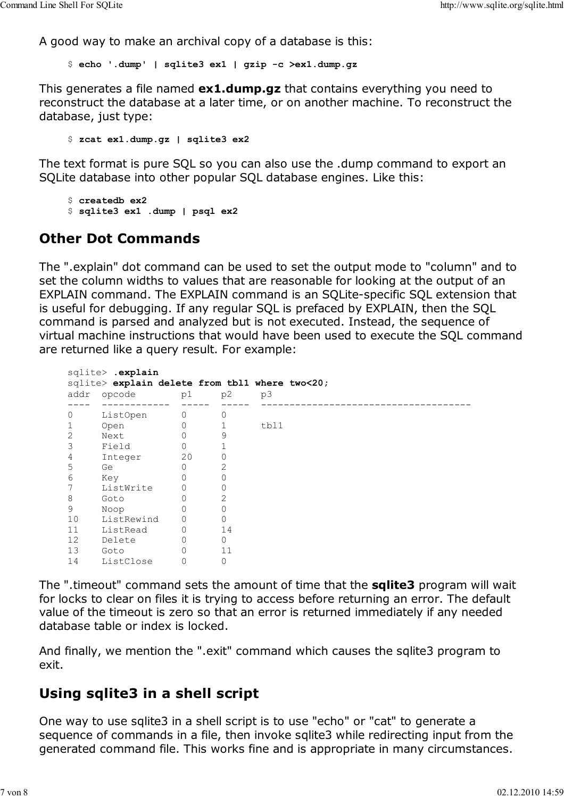A good way to make an archival copy of a database is this:

\$ **echo '.dump' | sqlite3 ex1 | gzip -c >ex1.dump.gz**

This generates a file named **ex1.dump.gz** that contains everything you need to reconstruct the database at a later time, or on another machine. To reconstruct the database, just type:

\$ **zcat ex1.dump.gz | sqlite3 ex2**

The text format is pure SQL so you can also use the .dump command to export an SQLite database into other popular SQL database engines. Like this:

\$ **createdb ex2** \$ **sqlite3 ex1 .dump | psql ex2**

## **Other Dot Commands**

The ".explain" dot command can be used to set the output mode to "column" and to set the column widths to values that are reasonable for looking at the output of an EXPLAIN command. The EXPLAIN command is an SQLite-specific SQL extension that is useful for debugging. If any regular SQL is prefaced by EXPLAIN, then the SQL command is parsed and analyzed but is not executed. Instead, the sequence of virtual machine instructions that would have been used to execute the SQL command are returned like a query result. For example:

```
sqlite> .explain
sqlite> explain delete from tbl1 where two<20;
addr opcode p1 p2 p3 
---- ------------ ----- ----- ------------------------------------- 
0 ListOpen 0 0
1 Open 0 1 tbl1
2 Next 0 9
3 Field 0 1 
4 Integer 20 0 
5 Ge 0 2
6 Key 0 0 
7 ListWrite 0 0 
8 Goto 0 2 
9 Noop 0 0 
10 ListRewind 0 0 
11 ListRead 0 14 
12 Delete 0 0 
13 Goto 0 11 
14 ListClose 0 0
```
The ".timeout" command sets the amount of time that the **sqlite3** program will wait for locks to clear on files it is trying to access before returning an error. The default value of the timeout is zero so that an error is returned immediately if any needed database table or index is locked.

And finally, we mention the ".exit" command which causes the sqlite3 program to exit.

## **Using sqlite3 in a shell script**

One way to use sqlite3 in a shell script is to use "echo" or "cat" to generate a sequence of commands in a file, then invoke sqlite3 while redirecting input from the generated command file. This works fine and is appropriate in many circumstances.